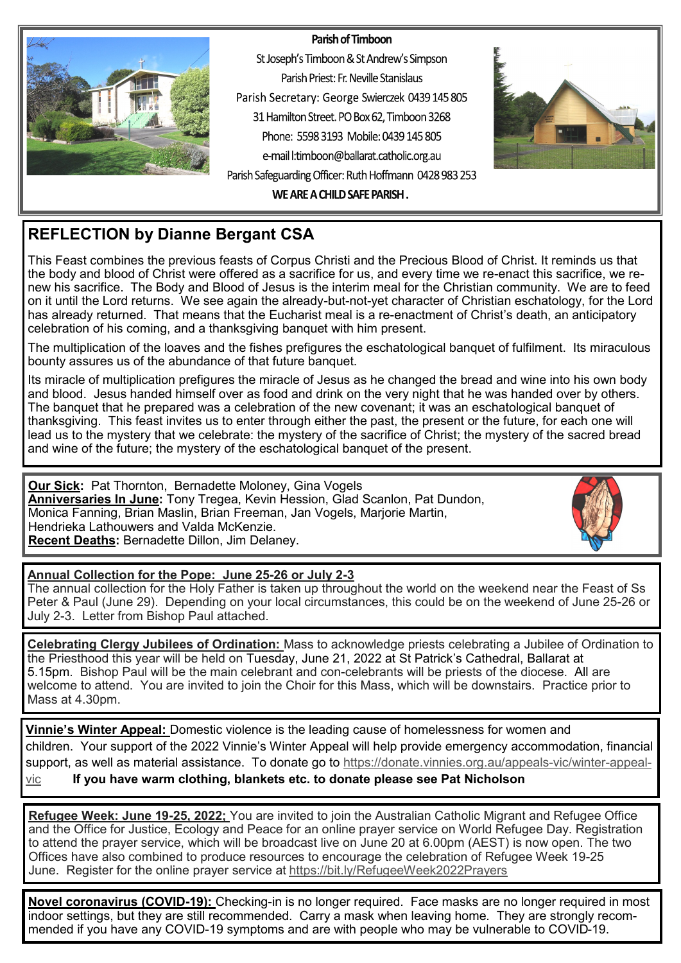#### Parish of Timboon



St Joseph's Timboon & St Andrew's Simpson Parish Priest: Fr. Neville Stanislaus Parish Secretary: George Swierczek 0439 145 805 31 Hamilton Street. PO Box 62, Timboon 3268 Phone: 5598.3193 Mobile: 0439 145 805 e-mail l:timboon@ballarat.catholic.org.au Parish Safeguarding Officer: Ruth Hoffmann 0428 983 253



WE ARE A CHILD SAFE PARISH.

# **REFLECTION by Dianne Bergant CSA**

This Feast combines the previous feasts of Corpus Christi and the Precious Blood of Christ. It reminds us that the body and blood of Christ were offered as a sacrifice for us, and every time we re-enact this sacrifice, we renew his sacrifice. The Body and Blood of Jesus is the interim meal for the Christian community. We are to feed on it until the Lord returns. We see again the already-but-not-yet character of Christian eschatology, for the Lord has already returned. That means that the Eucharist meal is a re-enactment of Christ's death, an anticipatory celebration of his coming, and a thanksgiving banquet with him present.

The multiplication of the loaves and the fishes prefigures the eschatological banquet of fulfilment. Its miraculous bounty assures us of the abundance of that future banquet.

Its miracle of multiplication prefigures the miracle of Jesus as he changed the bread and wine into his own body and blood. Jesus handed himself over as food and drink on the very night that he was handed over by others. The banquet that he prepared was a celebration of the new covenant; it was an eschatological banquet of thanksgiving. This feast invites us to enter through either the past, the present or the future, for each one will lead us to the mystery that we celebrate: the mystery of the sacrifice of Christ; the mystery of the sacred bread and wine of the future; the mystery of the eschatological banquet of the present.

**Our Sick:** Pat Thornton, Bernadette Moloney, Gina Vogels **Anniversaries In June:** Tony Tregea, Kevin Hession, Glad Scanlon, Pat Dundon, Monica Fanning, Brian Maslin, Brian Freeman, Jan Vogels, Marjorie Martin, Hendrieka Lathouwers and Valda McKenzie. **Recent Deaths:** Bernadette Dillon, Jim Delaney.



### **Annual Collection for the Pope: June 25-26 or July 2-3**

The annual collection for the Holy Father is taken up throughout the world on the weekend near the Feast of Ss Peter & Paul (June 29). Depending on your local circumstances, this could be on the weekend of June 25-26 or July 2-3. Letter from Bishop Paul attached.

**Celebrating Clergy Jubilees of Ordination:** Mass to acknowledge priests celebrating a Jubilee of Ordination to the Priesthood this year will be held on Tuesday, June 21, 2022 at St Patrick's Cathedral, Ballarat at 5.15pm. Bishop Paul will be the main celebrant and con-celebrants will be priests of the diocese. All are welcome to attend. You are invited to join the Choir for this Mass, which will be downstairs. Practice prior to Mass at 4.30pm.

**Vinnie's Winter Appeal:** Domestic violence is the leading cause of homelessness for women and children. Your support of the 2022 Vinnie's Winter Appeal will help provide emergency accommodation, financial support, as well as material assistance. To donate go to [https://donate.vinnies.org.au/appeals](https://donate.vinnies.org.au/appeals-vic/winter-appeal-vic)-vic/winter-appeal[vic](https://donate.vinnies.org.au/appeals-vic/winter-appeal-vic) **If you have warm clothing, blankets etc. to donate please see Pat Nicholson**

**Refugee Week: June 19-25, 2022;** You are invited to join the Australian Catholic Migrant and Refugee Office and the Office for Justice, Ecology and Peace for an online prayer service on World Refugee Day. Registration to attend the prayer service, which will be broadcast live on June 20 at 6.00pm (AEST) is now open. The two Offices have also combined to produce resources to encourage the celebration of Refugee Week 19-25 June. Register for the online prayer service at <https://bit.ly/RefugeeWeek2022Prayers>

**Novel coronavirus (COVID-19):** Checking-in is no longer required. Face masks are no longer required in most indoor settings, but they are still recommended. Carry a mask when leaving home. They are strongly recommended if you have any COVID-19 symptoms and are with people who may be vulnerable to COVID-19.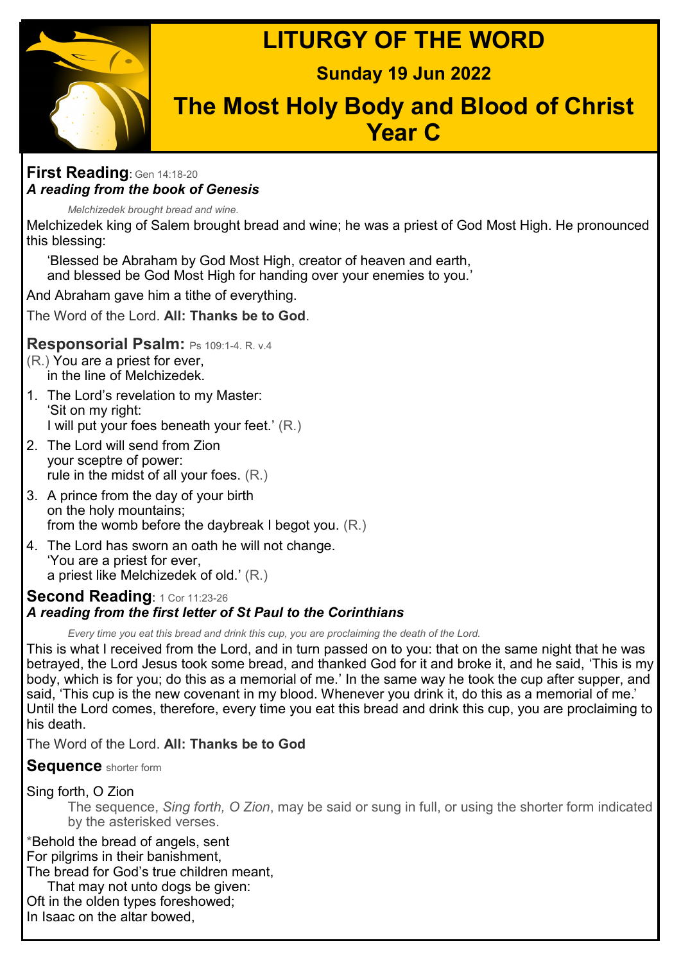**LITURGY OF THE WORD**



# **Sunday 19 Jun 2022**

# **The Most Holy Body and Blood of Christ Year C**

## **First Reading**: Gen 14:18-<sup>20</sup> *A reading from the book of Genesis*

*Melchizedek brought bread and wine.*

Melchizedek king of Salem brought bread and wine; he was a priest of God Most High. He pronounced this blessing:

'Blessed be Abraham by God Most High, creator of heaven and earth, and blessed be God Most High for handing over your enemies to you.'

And Abraham gave him a tithe of everything.

The Word of the Lord. **All: Thanks be to God**.

# **Responsorial Psalm:** Ps 109:1-4. R. v.4

- (R.) You are a priest for ever, in the line of Melchizedek.
- 1. The Lord's revelation to my Master: 'Sit on my right: I will put your foes beneath your feet.' (R.)
- 2. The Lord will send from Zion your sceptre of power: rule in the midst of all your foes. (R.)
- 3. A prince from the day of your birth on the holy mountains; from the womb before the daybreak I begot you. (R.)
- 4. The Lord has sworn an oath he will not change. 'You are a priest for ever, a priest like Melchizedek of old.' (R.)

# **Second Reading**: 1 Cor 11:23-<sup>26</sup> *A reading from the first letter of St Paul to the Corinthians*

*Every time you eat this bread and drink this cup, you are proclaiming the death of the Lord.*

This is what I received from the Lord, and in turn passed on to you: that on the same night that he was betrayed, the Lord Jesus took some bread, and thanked God for it and broke it, and he said, 'This is my body, which is for you; do this as a memorial of me.' In the same way he took the cup after supper, and said, 'This cup is the new covenant in my blood. Whenever you drink it, do this as a memorial of me.' Until the Lord comes, therefore, every time you eat this bread and drink this cup, you are proclaiming to his death.

The Word of the Lord. **All: Thanks be to God**

**Sequence** shorter form

# Sing forth, O Zion

The sequence, *Sing forth, O Zion*, may be said or sung in full, or using the shorter form indicated by the asterisked verses.

\*Behold the bread of angels, sent For pilgrims in their banishment, The bread for God's true children meant,

That may not unto dogs be given: Oft in the olden types foreshowed; In Isaac on the altar bowed,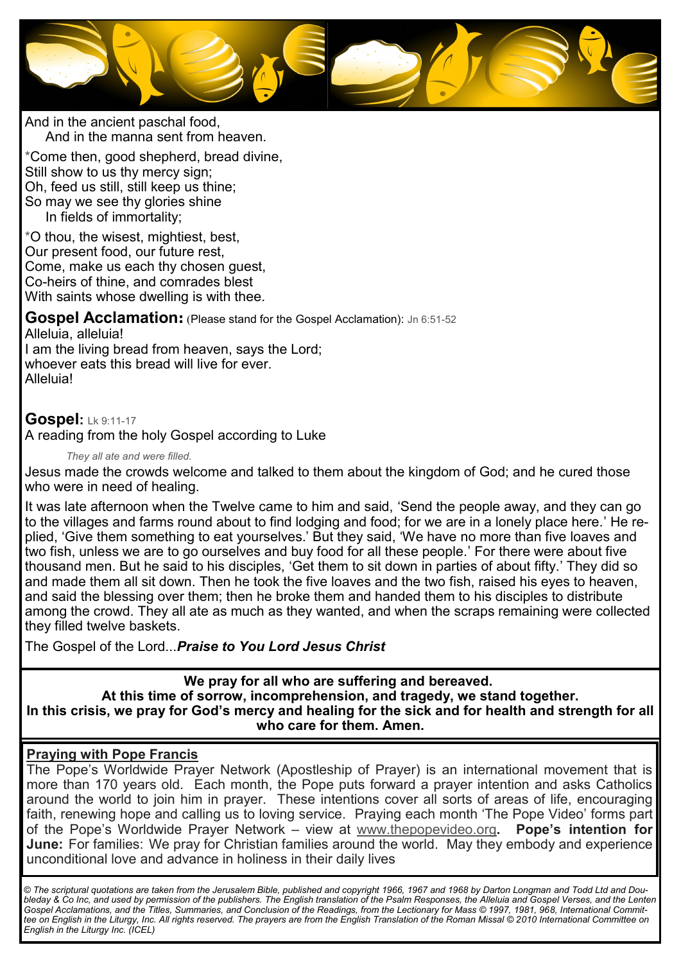

And in the ancient paschal food, And in the manna sent from heaven.

\*Come then, good shepherd, bread divine, Still show to us thy mercy sign; Oh, feed us still, still keep us thine; So may we see thy glories shine In fields of immortality;

\*O thou, the wisest, mightiest, best, Our present food, our future rest, Come, make us each thy chosen guest, Co-heirs of thine, and comrades blest With saints whose dwelling is with thee.

**Gospel Acclamation:** (Please stand for the Gospel Acclamation): Jn 6:51-<sup>52</sup> Alleluia, alleluia! I am the living bread from heaven, says the Lord;

whoever eats this bread will live for ever. Alleluia!

# **Gospel:** Lk 9:11-<sup>17</sup>

A reading from the holy Gospel according to Luke

#### *They all ate and were filled.*

Jesus made the crowds welcome and talked to them about the kingdom of God; and he cured those who were in need of healing.

It was late afternoon when the Twelve came to him and said, 'Send the people away, and they can go to the villages and farms round about to find lodging and food; for we are in a lonely place here.' He replied, 'Give them something to eat yourselves.' But they said, 'We have no more than five loaves and two fish, unless we are to go ourselves and buy food for all these people.' For there were about five thousand men. But he said to his disciples, 'Get them to sit down in parties of about fifty.' They did so and made them all sit down. Then he took the five loaves and the two fish, raised his eyes to heaven, and said the blessing over them; then he broke them and handed them to his disciples to distribute among the crowd. They all ate as much as they wanted, and when the scraps remaining were collected they filled twelve baskets.

The Gospel of the Lord...*Praise to You Lord Jesus Christ*

**We pray for all who are suffering and bereaved. At this time of sorrow, incomprehension, and tragedy, we stand together. In this crisis, we pray for God's mercy and healing for the sick and for health and strength for all who care for them. Amen.**

### **Praying with Pope Francis**

The Pope's Worldwide Prayer Network (Apostleship of Prayer) is an international movement that is more than 170 years old. Each month, the Pope puts forward a prayer intention and asks Catholics around the world to join him in prayer. These intentions cover all sorts of areas of life, encouraging faith, renewing hope and calling us to loving service. Praying each month 'The Pope Video' forms part of the Pope's Worldwide Prayer Network – view at [www.thepopevideo.org](http://www.thepopevideo.org/)**. Pope's intention for June:** For families: We pray for Christian families around the world. May they embody and experience unconditional love and advance in holiness in their daily lives

*© The scriptural quotations are taken from the Jerusalem Bible, published and copyright 1966, 1967 and 1968 by Darton Longman and Todd Ltd and Doubleday & Co Inc, and used by permission of the publishers. The English translation of the Psalm Responses, the Alleluia and Gospel Verses, and the Lenten Gospel Acclamations, and the Titles, Summaries, and Conclusion of the Readings, from the Lectionary for Mass © 1997, 1981, 968, International Committee on English in the Liturgy, Inc. All rights reserved. The prayers are from the English Translation of the Roman Missal © 2010 International Committee on English in the Liturgy Inc. (ICEL)*